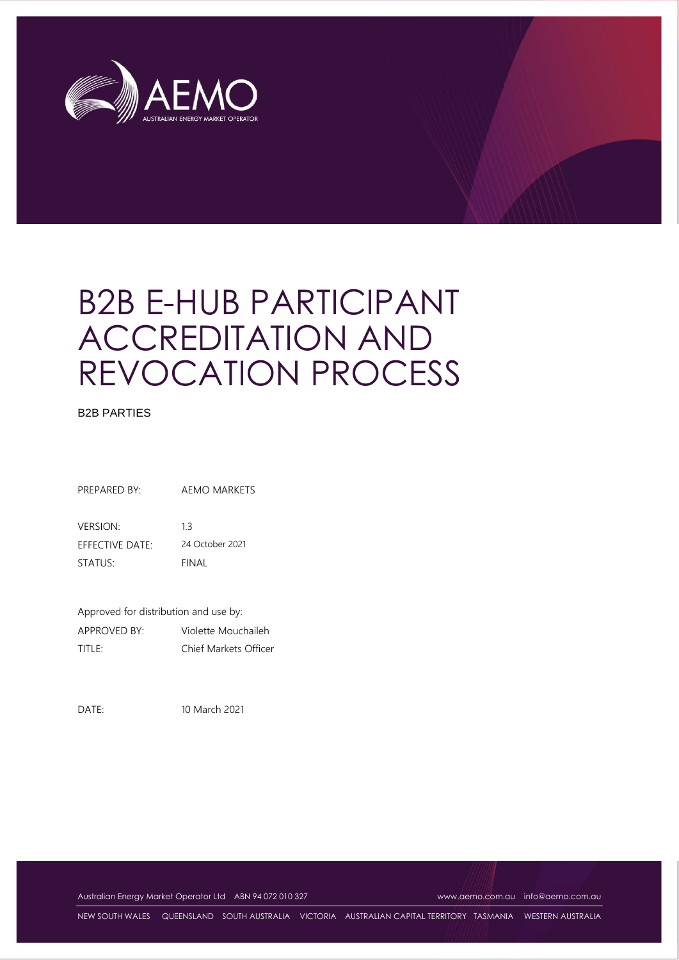

# B2B E-HUB PARTICIPANT ACCREDITATION AND REVOCATION PROCESS

#### B2B PARTIES

PREPARED BY: AEMO MARKETS

VERSION: 1.3 EFFECTIVE DATE: 24 October 2021 STATUS: FINAL

Approved for distribution and use by: APPROVED BY: Violette Mouchaileh TITLE: Chief Markets Officer

DATE: 10 March 2021

Australian Energy Market Operator Ltd ABN 94 072 010 327 [www.aemo.com.au](http://www.aemo.com.au/) [info@aemo.com.au](mailto:info@aemo.com.au)

NEW SOUTH WALES QUEENSLAND SOUTH AUSTRALIA VICTORIA AUSTRALIAN CAPITAL TERRITORY TASMANIA WESTERN AUSTRALIA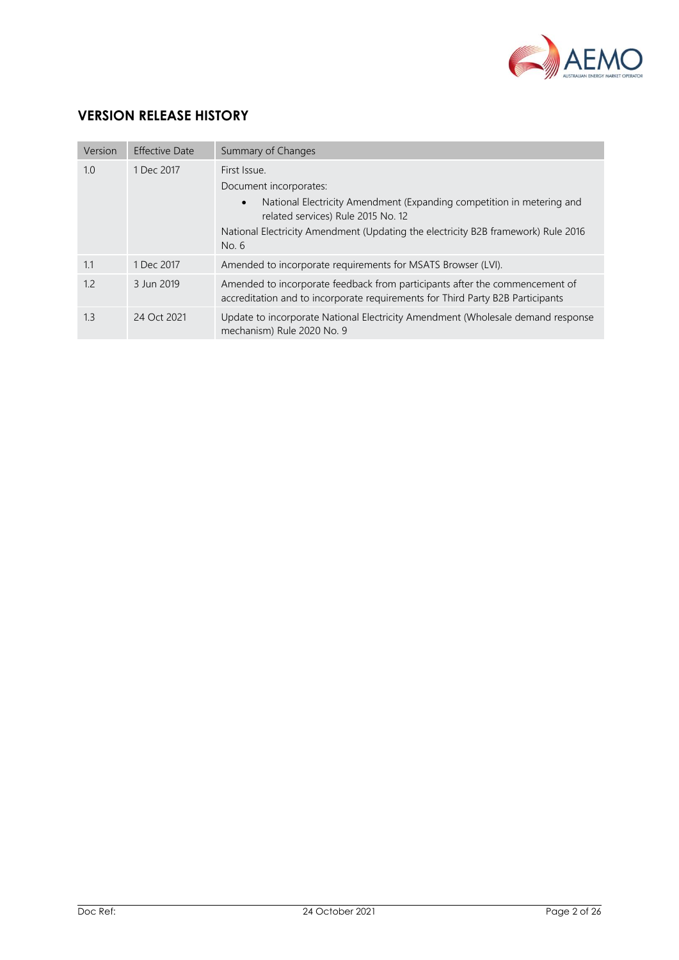

# **VERSION RELEASE HISTORY**

| Version | <b>Effective Date</b> | Summary of Changes                                                                                                                                                                                                                                               |
|---------|-----------------------|------------------------------------------------------------------------------------------------------------------------------------------------------------------------------------------------------------------------------------------------------------------|
| 1.0     | 1 Dec 2017            | First Issue.<br>Document incorporates:<br>National Electricity Amendment (Expanding competition in metering and<br>$\bullet$<br>related services) Rule 2015 No. 12<br>National Electricity Amendment (Updating the electricity B2B framework) Rule 2016<br>No. 6 |
| 1.1     | 1 Dec 2017            | Amended to incorporate requirements for MSATS Browser (LVI).                                                                                                                                                                                                     |
| 1.2     | 3 Jun 2019            | Amended to incorporate feedback from participants after the commencement of<br>accreditation and to incorporate requirements for Third Party B2B Participants                                                                                                    |
| 1.3     | 24 Oct 2021           | Update to incorporate National Electricity Amendment (Wholesale demand response<br>mechanism) Rule 2020 No. 9                                                                                                                                                    |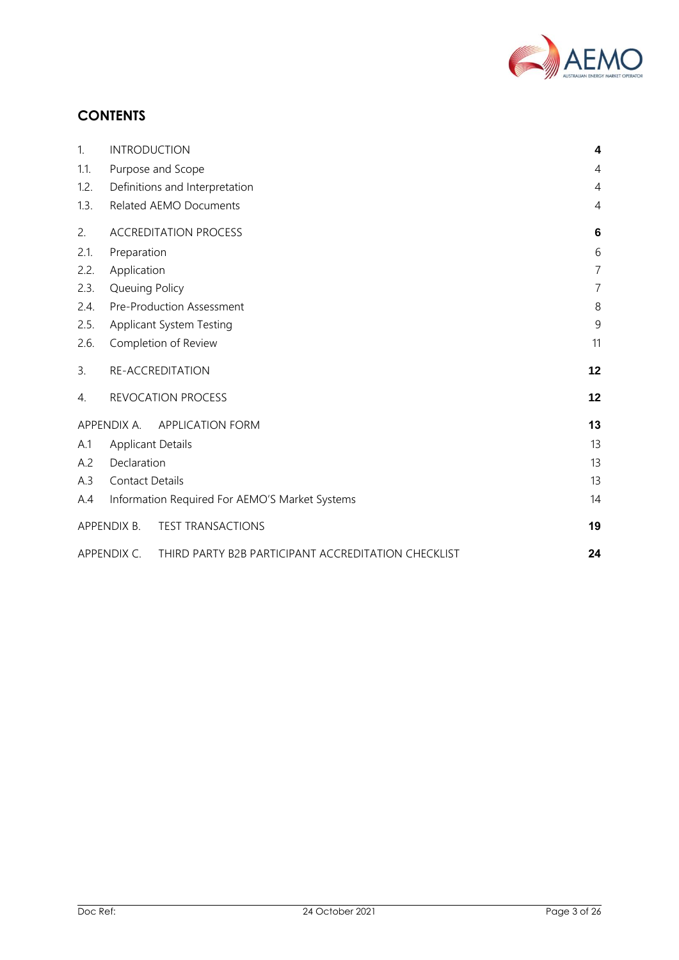

# **CONTENTS**

| 1.   | <b>INTRODUCTION</b>                                                | $\boldsymbol{4}$ |
|------|--------------------------------------------------------------------|------------------|
| 1.1. | Purpose and Scope                                                  | 4                |
| 1.2. | Definitions and Interpretation                                     | 4                |
| 1.3. | Related AEMO Documents                                             | 4                |
| 2.   | <b>ACCREDITATION PROCESS</b>                                       | 6                |
| 2.1. | Preparation                                                        | 6                |
| 2.2. | Application                                                        | $\overline{7}$   |
| 2.3. | Queuing Policy                                                     | $\overline{7}$   |
| 2.4. | Pre-Production Assessment                                          | 8                |
| 2.5. | Applicant System Testing                                           | 9                |
| 2.6. | Completion of Review                                               | 11               |
| 3.   | RE-ACCREDITATION                                                   | 12               |
| 4.   | REVOCATION PROCESS                                                 | 12               |
|      | APPENDIX A. APPLICATION FORM                                       | 13               |
| A.1  | <b>Applicant Details</b>                                           | 13               |
| A.2  | Declaration                                                        | 13               |
| A.3  | <b>Contact Details</b>                                             | 13               |
| A.4  | Information Required For AEMO'S Market Systems                     | 14               |
|      | APPENDIX B.<br><b>TEST TRANSACTIONS</b>                            | 19               |
|      | APPENDIX C.<br>THIRD PARTY B2B PARTICIPANT ACCREDITATION CHECKLIST | 24               |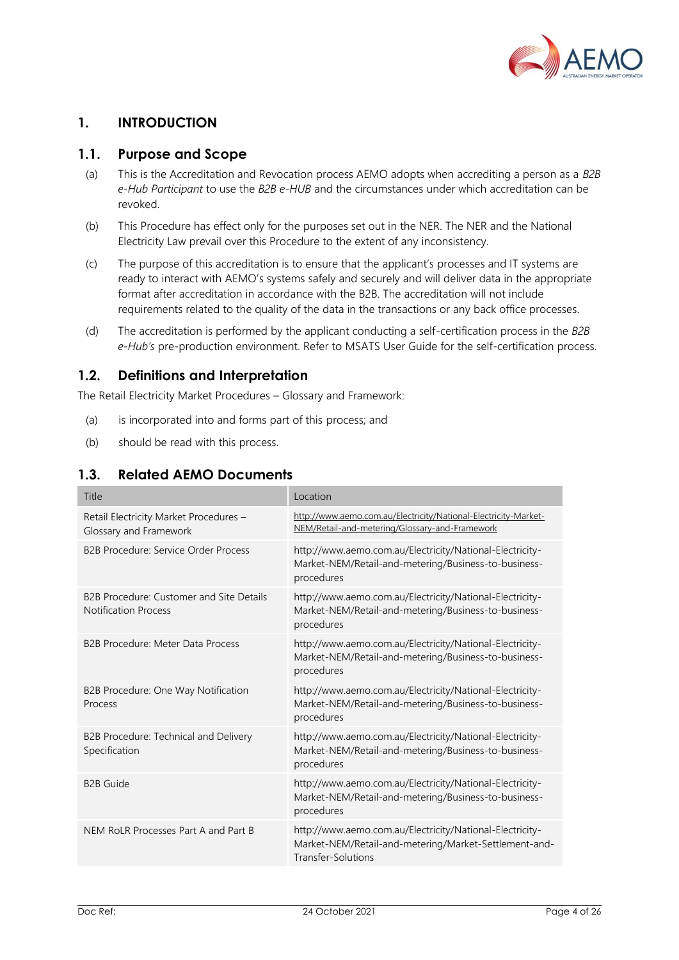

## <span id="page-3-0"></span>**1. INTRODUCTION**

## <span id="page-3-1"></span>**1.1. Purpose and Scope**

- (a) This is the Accreditation and Revocation process AEMO adopts when accrediting a person as a *B2B e-Hub Participant* to use the *B2B e-HUB* and the circumstances under which accreditation can be revoked.
- (b) This Procedure has effect only for the purposes set out in the NER. The NER and the National Electricity Law prevail over this Procedure to the extent of any inconsistency.
- (c) The purpose of this accreditation is to ensure that the applicant's processes and IT systems are ready to interact with AEMO's systems safely and securely and will deliver data in the appropriate format after accreditation in accordance with the B2B. The accreditation will not include requirements related to the quality of the data in the transactions or any back office processes.
- (d) The accreditation is performed by the applicant conducting a self-certification process in the *B2B e-Hub's* pre-production environment. Refer to MSATS User Guide for the self-certification process.

## <span id="page-3-2"></span>**1.2. Definitions and Interpretation**

The Retail Electricity Market Procedures – Glossary and Framework:

- (a) is incorporated into and forms part of this process; and
- (b) should be read with this process.

## <span id="page-3-3"></span>**1.3. Related AEMO Documents**

| Title                                                                   | Location                                                                                                                                |
|-------------------------------------------------------------------------|-----------------------------------------------------------------------------------------------------------------------------------------|
| Retail Electricity Market Procedures -<br>Glossary and Framework        | http://www.aemo.com.au/Electricity/National-Electricity-Market-<br>NEM/Retail-and-metering/Glossary-and-Framework                       |
| <b>B2B Procedure: Service Order Process</b>                             | http://www.aemo.com.au/Electricity/National-Electricity-<br>Market-NEM/Retail-and-metering/Business-to-business-<br>procedures          |
| B2B Procedure: Customer and Site Details<br><b>Notification Process</b> | http://www.aemo.com.au/Electricity/National-Electricity-<br>Market-NEM/Retail-and-metering/Business-to-business-<br>procedures          |
| B2B Procedure: Meter Data Process                                       | http://www.aemo.com.au/Electricity/National-Electricity-<br>Market-NEM/Retail-and-metering/Business-to-business-<br>procedures          |
| B2B Procedure: One Way Notification<br>Process                          | http://www.aemo.com.au/Electricity/National-Electricity-<br>Market-NEM/Retail-and-metering/Business-to-business-<br>procedures          |
| B2B Procedure: Technical and Delivery<br>Specification                  | http://www.aemo.com.au/Electricity/National-Electricity-<br>Market-NEM/Retail-and-metering/Business-to-business-<br>procedures          |
| <b>B2B Guide</b>                                                        | http://www.aemo.com.au/Electricity/National-Electricity-<br>Market-NEM/Retail-and-metering/Business-to-business-<br>procedures          |
| NEM RoLR Processes Part A and Part B                                    | http://www.aemo.com.au/Electricity/National-Electricity-<br>Market-NEM/Retail-and-metering/Market-Settlement-and-<br>Transfer-Solutions |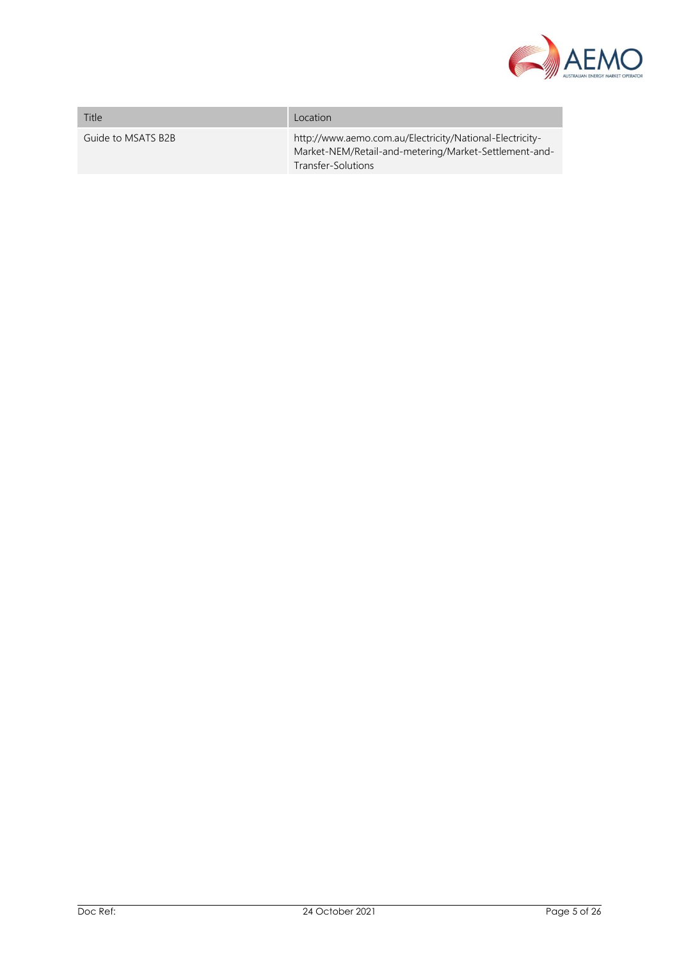

| Title              | Location                                                                                                                                |
|--------------------|-----------------------------------------------------------------------------------------------------------------------------------------|
| Guide to MSATS B2B | http://www.aemo.com.au/Electricity/National-Electricity-<br>Market-NEM/Retail-and-metering/Market-Settlement-and-<br>Transfer-Solutions |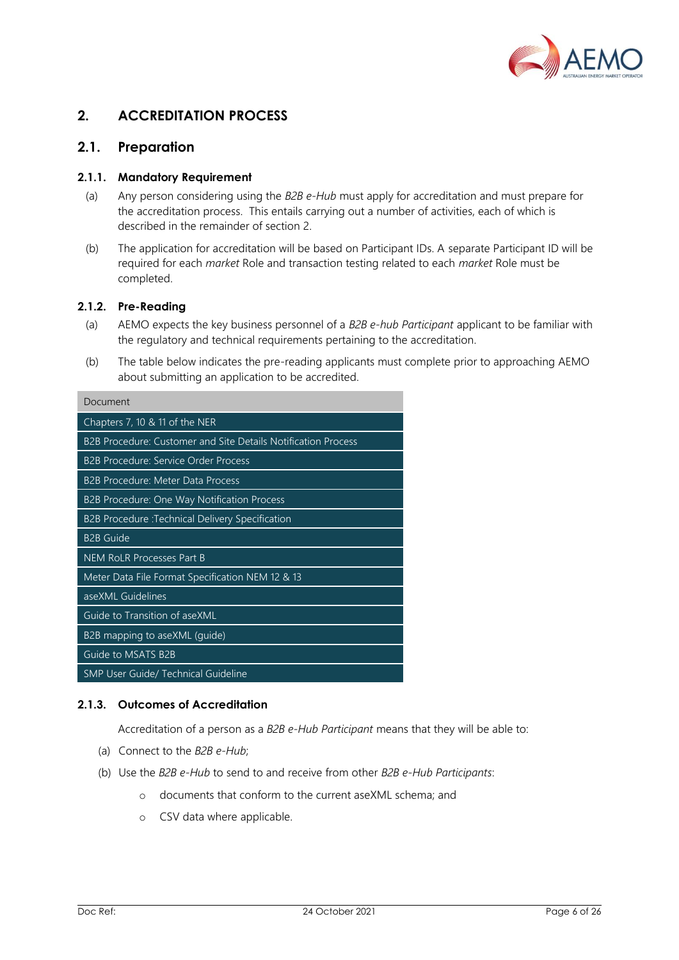

## <span id="page-5-0"></span>**2. ACCREDITATION PROCESS**

## <span id="page-5-1"></span>**2.1. Preparation**

#### **2.1.1. Mandatory Requirement**

- (a) Any person considering using the *B2B e-Hub* must apply for accreditation and must prepare for the accreditation process. This entails carrying out a number of activities, each of which is described in the remainder of section 2.
- (b) The application for accreditation will be based on Participant IDs. A separate Participant ID will be required for each *market* Role and transaction testing related to each *market* Role must be completed.

#### **2.1.2. Pre-Reading**

- (a) AEMO expects the key business personnel of a *B2B e-hub Participant* applicant to be familiar with the regulatory and technical requirements pertaining to the accreditation.
- (b) The table below indicates the pre-reading applicants must complete prior to approaching AEMO about submitting an application to be accredited.

| Document                                                      |
|---------------------------------------------------------------|
| Chapters 7, 10 & 11 of the NER                                |
| B2B Procedure: Customer and Site Details Notification Process |
| <b>B2B Procedure: Service Order Process</b>                   |
| B2B Procedure: Meter Data Process                             |
| B2B Procedure: One Way Notification Process                   |
| B2B Procedure :Technical Delivery Specification               |
| <b>B2B Guide</b>                                              |
| <b>NEM RoLR Processes Part B</b>                              |
| Meter Data File Format Specification NEM 12 & 13              |
| aseXML Guidelines                                             |
| Guide to Transition of aseXML                                 |
| B2B mapping to aseXML (guide)                                 |
| Guide to MSATS B2B                                            |
| <b>SMP User Guide/ Technical Guideline</b>                    |

#### **2.1.3. Outcomes of Accreditation**

Accreditation of a person as a *B2B e-Hub Participant* means that they will be able to:

- (a) Connect to the *B2B e-Hub*;
- (b) Use the *B2B e-Hub* to send to and receive from other *B2B e-Hub Participants*:
	- o documents that conform to the current aseXML schema; and
	- o CSV data where applicable.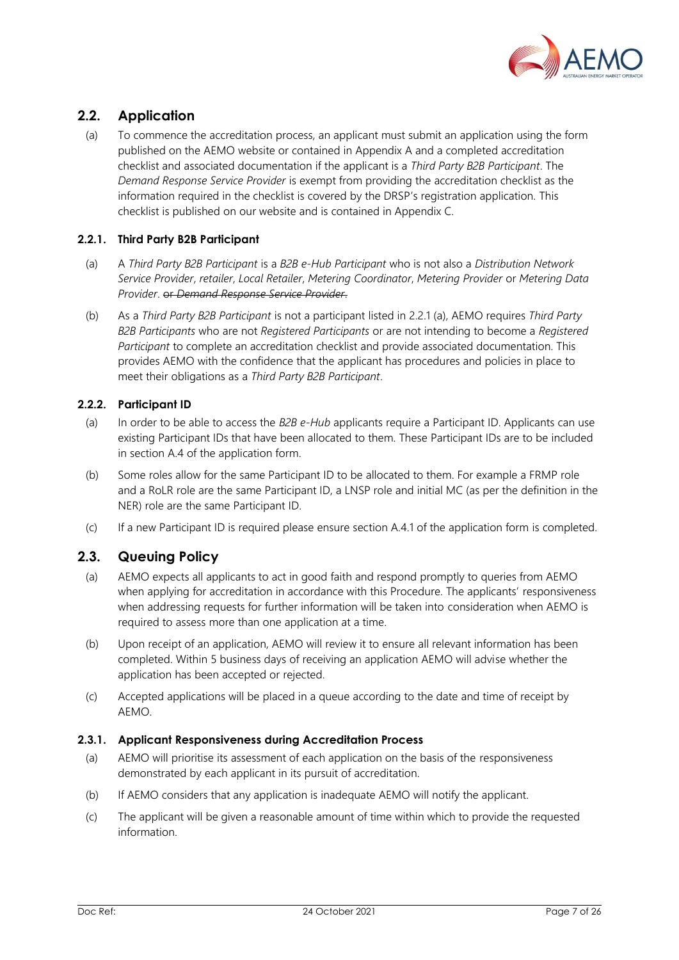

## <span id="page-6-0"></span>**2.2. Application**

(a) To commence the accreditation process, an applicant must submit an application using the form published on the AEMO website or contained in Appendix A and a completed accreditation checklist and associated documentation if the applicant is a *Third Party B2B Participant*. The *Demand Response Service Provider* is exempt from providing the accreditation checklist as the information required in the checklist is covered by the DRSP's registration application. This checklist is published on our website and is contained in Appendix C.

#### **2.2.1. Third Party B2B Participant**

- (a) A *Third Party B2B Participant* is a *B2B e-Hub Participant* who is not also a *Distribution Network Service Provider*, *retailer*, *Local Retailer*, *Metering Coordinator*, *Metering Provider* or *Metering Data Provider*. or *Demand Response Service Provider*.
- (b) As a *Third Party B2B Participant* is not a participant listed in 2.2.1 (a), AEMO requires *Third Party B2B Participants* who are not *Registered Participants* or are not intending to become a *Registered Participant* to complete an accreditation checklist and provide associated documentation. This provides AEMO with the confidence that the applicant has procedures and policies in place to meet their obligations as a *Third Party B2B Participant*.

#### **2.2.2. Participant ID**

- (a) In order to be able to access the *B2B e-Hub* applicants require a Participant ID. Applicants can use existing Participant IDs that have been allocated to them. These Participant IDs are to be included in section A.4 of the application form.
- (b) Some roles allow for the same Participant ID to be allocated to them. For example a FRMP role and a RoLR role are the same Participant ID, a LNSP role and initial MC (as per the definition in the NER) role are the same Participant ID.
- (c) If a new Participant ID is required please ensure section A.4.1 of the application form is completed.

## <span id="page-6-1"></span>**2.3. Queuing Policy**

- (a) AEMO expects all applicants to act in good faith and respond promptly to queries from AEMO when applying for accreditation in accordance with this Procedure. The applicants' responsiveness when addressing requests for further information will be taken into consideration when AEMO is required to assess more than one application at a time.
- (b) Upon receipt of an application, AEMO will review it to ensure all relevant information has been completed. Within 5 business days of receiving an application AEMO will advise whether the application has been accepted or rejected.
- (c) Accepted applications will be placed in a queue according to the date and time of receipt by AEMO.

#### **2.3.1. Applicant Responsiveness during Accreditation Process**

- (a) AEMO will prioritise its assessment of each application on the basis of the responsiveness demonstrated by each applicant in its pursuit of accreditation.
- (b) If AEMO considers that any application is inadequate AEMO will notify the applicant.
- (c) The applicant will be given a reasonable amount of time within which to provide the requested information.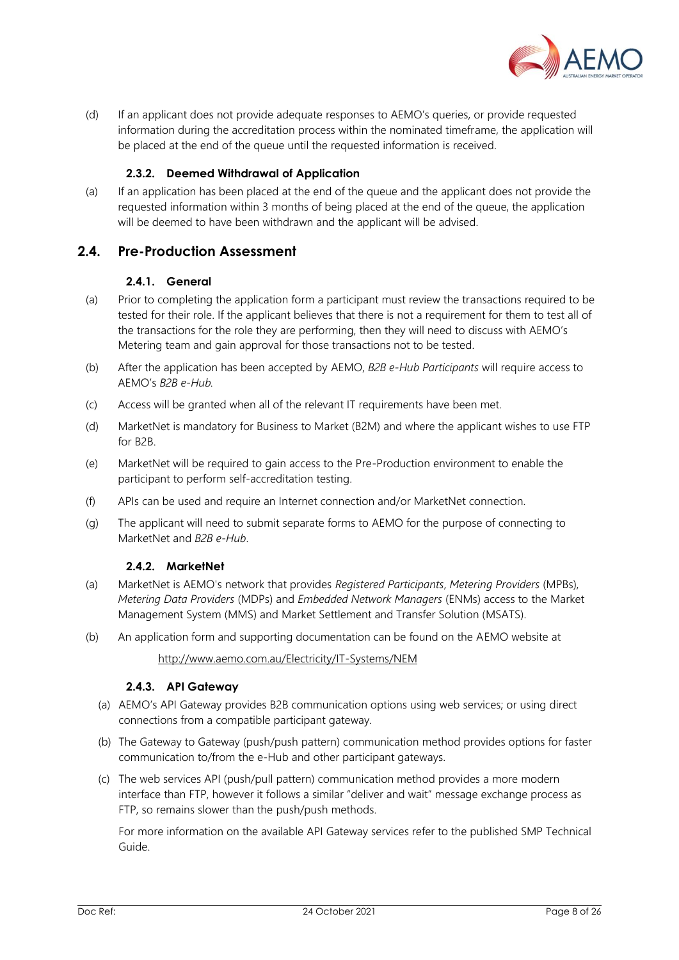

(d) If an applicant does not provide adequate responses to AEMO's queries, or provide requested information during the accreditation process within the nominated timeframe, the application will be placed at the end of the queue until the requested information is received.

#### **2.3.2. Deemed Withdrawal of Application**

(a) If an application has been placed at the end of the queue and the applicant does not provide the requested information within 3 months of being placed at the end of the queue, the application will be deemed to have been withdrawn and the applicant will be advised.

#### <span id="page-7-0"></span>**2.4. Pre-Production Assessment**

#### **2.4.1. General**

- (a) Prior to completing the application form a participant must review the transactions required to be tested for their role. If the applicant believes that there is not a requirement for them to test all of the transactions for the role they are performing, then they will need to discuss with AEMO's Metering team and gain approval for those transactions not to be tested.
- (b) After the application has been accepted by AEMO, *B2B e-Hub Participants* will require access to AEMO's *B2B e-Hub.*
- (c) Access will be granted when all of the relevant IT requirements have been met.
- (d) MarketNet is mandatory for Business to Market (B2M) and where the applicant wishes to use FTP for B2B.
- (e) MarketNet will be required to gain access to the Pre-Production environment to enable the participant to perform self-accreditation testing.
- (f) APIs can be used and require an Internet connection and/or MarketNet connection.
- (g) The applicant will need to submit separate forms to AEMO for the purpose of connecting to MarketNet and *B2B e-Hub*.

#### **2.4.2. MarketNet**

- (a) MarketNet is AEMO's network that provides *Registered Participants*, *Metering Providers* (MPBs), *Metering Data Providers* (MDPs) and *Embedded Network Managers* (ENMs) access to the Market Management System (MMS) and Market Settlement and Transfer Solution (MSATS).
- (b) An application form and supporting documentation can be found on the AEMO website at

<http://www.aemo.com.au/Electricity/IT-Systems/NEM>

#### **2.4.3. API Gateway**

- (a) AEMO's API Gateway provides B2B communication options using web services; or using direct connections from a compatible participant gateway.
- (b) The Gateway to Gateway (push/push pattern) communication method provides options for faster communication to/from the e-Hub and other participant gateways.
- (c) The web services API (push/pull pattern) communication method provides a more modern interface than FTP, however it follows a similar "deliver and wait" message exchange process as FTP, so remains slower than the push/push methods.

For more information on the available API Gateway services refer to the published SMP Technical Guide.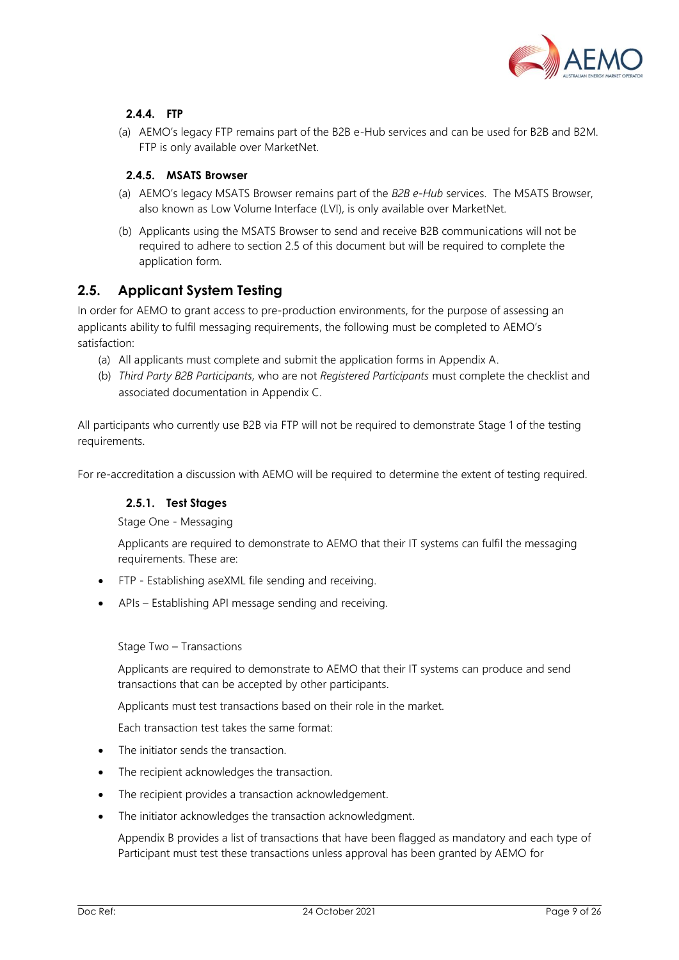

## **2.4.4. FTP**

(a) AEMO's legacy FTP remains part of the B2B e-Hub services and can be used for B2B and B2M. FTP is only available over MarketNet.

#### **2.4.5. MSATS Browser**

- (a) AEMO's legacy MSATS Browser remains part of the *B2B e-Hub* services. The MSATS Browser, also known as Low Volume Interface (LVI), is only available over MarketNet.
- (b) Applicants using the MSATS Browser to send and receive B2B communications will not be required to adhere to section 2.5 of this document but will be required to complete the application form.

## <span id="page-8-0"></span>**2.5. Applicant System Testing**

In order for AEMO to grant access to pre-production environments, for the purpose of assessing an applicants ability to fulfil messaging requirements, the following must be completed to AEMO's satisfaction:

- (a) All applicants must complete and submit the application forms in Appendix A.
- (b) *Third Party B2B Participants,* who are not *Registered Participants* must complete the checklist and associated documentation in Appendix C.

All participants who currently use B2B via FTP will not be required to demonstrate Stage 1 of the testing requirements.

For re-accreditation a discussion with AEMO will be required to determine the extent of testing required.

#### **2.5.1. Test Stages**

Stage One - Messaging

Applicants are required to demonstrate to AEMO that their IT systems can fulfil the messaging requirements. These are:

- FTP Establishing aseXML file sending and receiving.
- APIs Establishing API message sending and receiving.

Stage Two – Transactions

Applicants are required to demonstrate to AEMO that their IT systems can produce and send transactions that can be accepted by other participants.

Applicants must test transactions based on their role in the market.

Each transaction test takes the same format:

- The initiator sends the transaction.
- The recipient acknowledges the transaction.
- The recipient provides a transaction acknowledgement.
- The initiator acknowledges the transaction acknowledgment.

Appendix B provides a list of transactions that have been flagged as mandatory and each type of Participant must test these transactions unless approval has been granted by AEMO for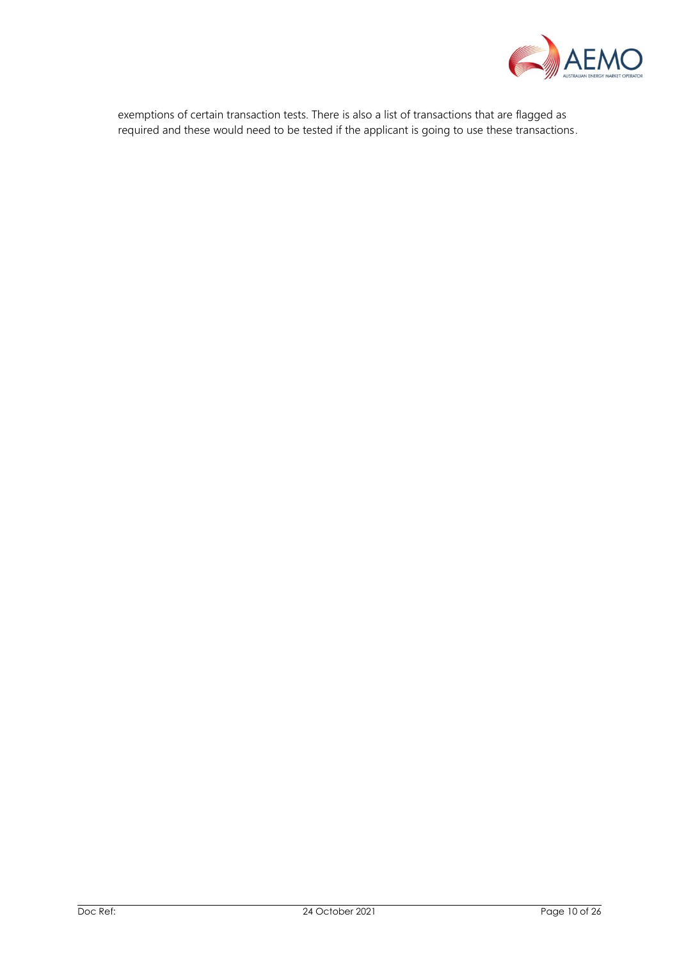

exemptions of certain transaction tests. There is also a list of transactions that are flagged as required and these would need to be tested if the applicant is going to use these transactions.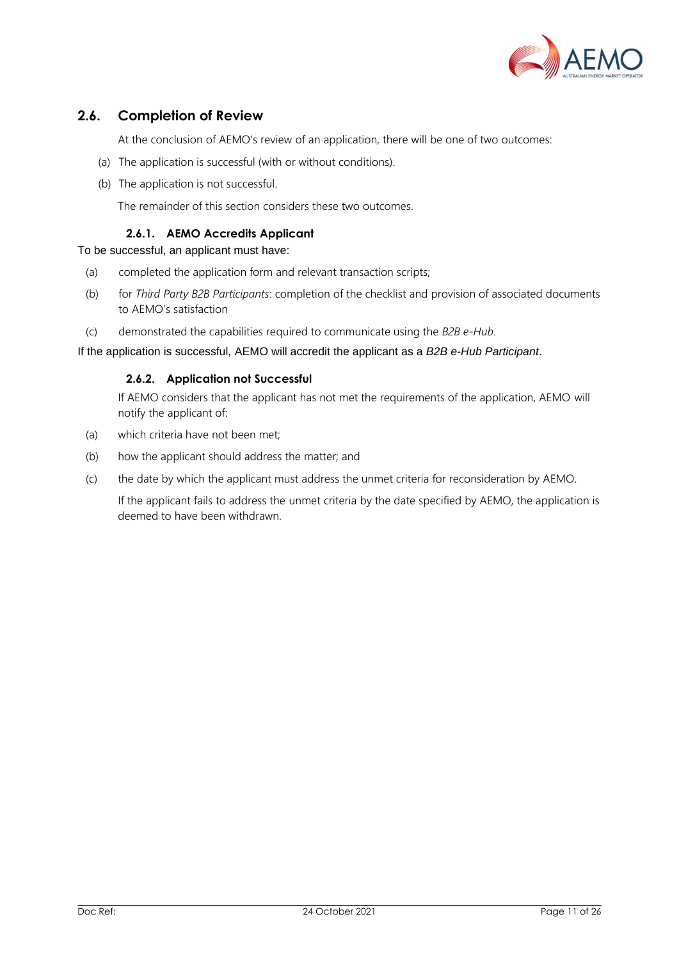

## <span id="page-10-0"></span>**2.6. Completion of Review**

At the conclusion of AEMO's review of an application, there will be one of two outcomes:

- (a) The application is successful (with or without conditions).
- (b) The application is not successful.

The remainder of this section considers these two outcomes.

#### **2.6.1. AEMO Accredits Applicant**

To be successful, an applicant must have:

- (a) completed the application form and relevant transaction scripts;
- (b) for *Third Party B2B Participants*: completion of the checklist and provision of associated documents to AEMO's satisfaction
- (c) demonstrated the capabilities required to communicate using the *B2B e-Hub.*

#### If the application is successful, AEMO will accredit the applicant as a *B2B e-Hub Participant*.

#### **2.6.2. Application not Successful**

If AEMO considers that the applicant has not met the requirements of the application, AEMO will notify the applicant of:

- (a) which criteria have not been met;
- (b) how the applicant should address the matter; and
- (c) the date by which the applicant must address the unmet criteria for reconsideration by AEMO.

If the applicant fails to address the unmet criteria by the date specified by AEMO, the application is deemed to have been withdrawn.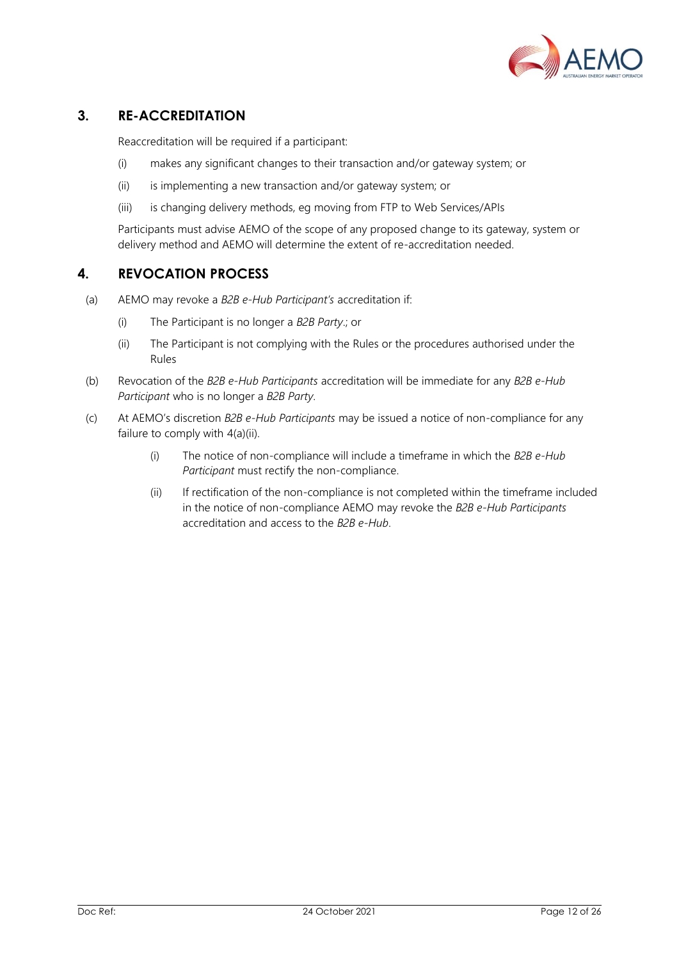

## <span id="page-11-0"></span>**3. RE-ACCREDITATION**

Reaccreditation will be required if a participant:

- (i) makes any significant changes to their transaction and/or gateway system; or
- (ii) is implementing a new transaction and/or gateway system; or
- (iii) is changing delivery methods, eg moving from FTP to Web Services/APIs

Participants must advise AEMO of the scope of any proposed change to its gateway, system or delivery method and AEMO will determine the extent of re-accreditation needed.

## <span id="page-11-1"></span>**4. REVOCATION PROCESS**

- (a) AEMO may revoke a *B2B e-Hub Participant's* accreditation if:
	- (i) The Participant is no longer a *B2B Party*.; or
	- (ii) The Participant is not complying with the Rules or the procedures authorised under the Rules
- (b) Revocation of the *B2B e-Hub Participants* accreditation will be immediate for any *B2B e-Hub Participant* who is no longer a *B2B Party*.
- (c) At AEMO's discretion *B2B e-Hub Participants* may be issued a notice of non-compliance for any failure to comply with 4(a)(ii).
	- (i) The notice of non-compliance will include a timeframe in which the *B2B e-Hub Participant* must rectify the non-compliance.
	- (ii) If rectification of the non-compliance is not completed within the timeframe included in the notice of non-compliance AEMO may revoke the *B2B e-Hub Participants* accreditation and access to the *B2B e-Hub*.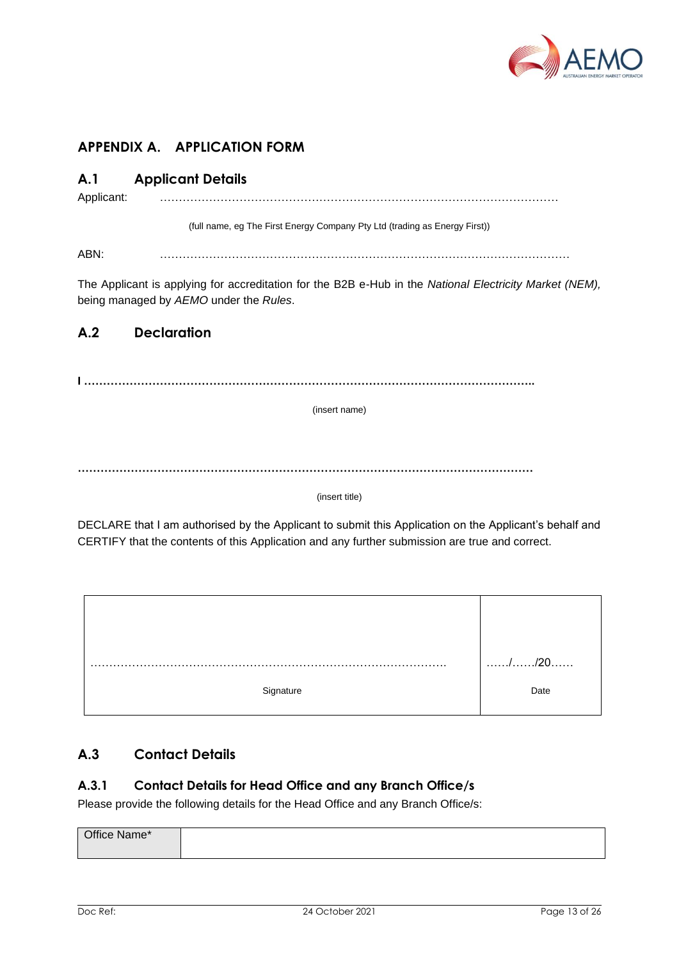

# <span id="page-12-0"></span>**APPENDIX A. APPLICATION FORM**

## <span id="page-12-1"></span>**A.1 Applicant Details**

Applicant: ……………………………………………………………………………………………

(full name, eg The First Energy Company Pty Ltd (trading as Energy First))

ABN: ………………………………………………………………………………………………

The Applicant is applying for accreditation for the B2B e-Hub in the *National Electricity Market (NEM),*  being managed by *AEMO* under the *Rules*.

## <span id="page-12-2"></span>**A.2 Declaration**

**I ………………………………………………………………………………………………………..**

(insert name)

**…………………………………………………………………………………………………………**

(insert title)

DECLARE that I am authorised by the Applicant to submit this Application on the Applicant's behalf and CERTIFY that the contents of this Application and any further submission are true and correct.



## <span id="page-12-3"></span>**A.3 Contact Details**

## **A.3.1 Contact Details for Head Office and any Branch Office/s**

Please provide the following details for the Head Office and any Branch Office/s:

| Office Name* |  |
|--------------|--|
|              |  |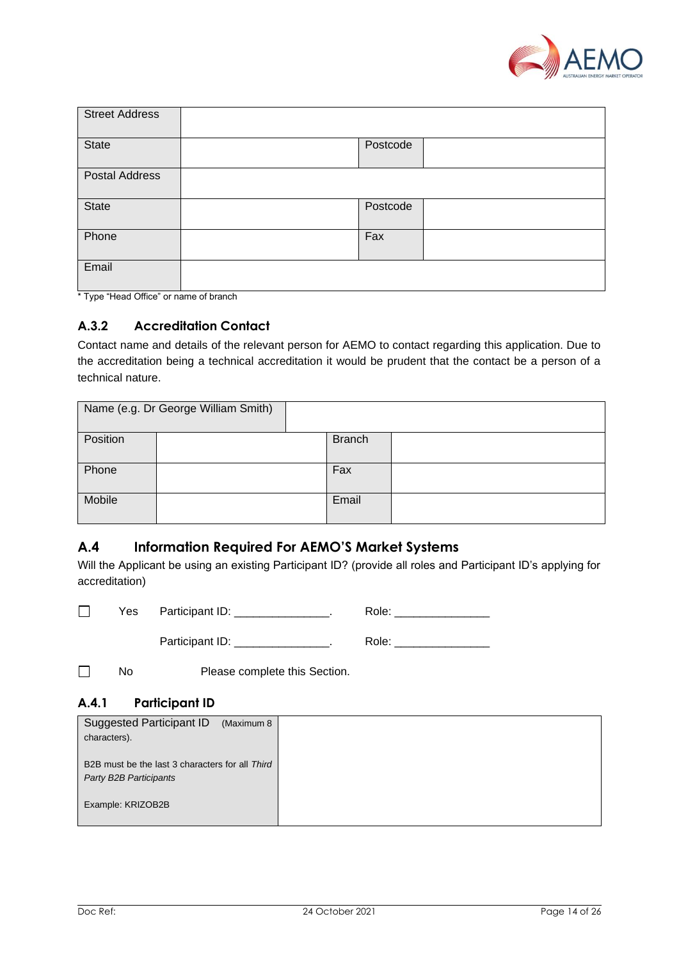

| <b>Street Address</b> |          |  |
|-----------------------|----------|--|
| <b>State</b>          | Postcode |  |
| <b>Postal Address</b> |          |  |
| <b>State</b>          | Postcode |  |
| Phone                 | Fax      |  |
| Email                 |          |  |

\* Type "Head Office" or name of branch

## **A.3.2 Accreditation Contact**

Contact name and details of the relevant person for AEMO to contact regarding this application. Due to the accreditation being a technical accreditation it would be prudent that the contact be a person of a technical nature.

|          | Name (e.g. Dr George William Smith) |               |  |
|----------|-------------------------------------|---------------|--|
| Position |                                     | <b>Branch</b> |  |
| Phone    |                                     | Fax           |  |
| Mobile   |                                     | Email         |  |

## <span id="page-13-0"></span>**A.4 Information Required For AEMO'S Market Systems**

Will the Applicant be using an existing Participant ID? (provide all roles and Participant ID's applying for accreditation)

| Yes | Participant ID: | Role: |
|-----|-----------------|-------|
|     | Participant ID: | Role: |

 $\Box$ No Please complete this Section.

## **A.4.1 Participant ID**

| <b>Suggested Participant ID</b><br>(Maximum 8   |  |
|-------------------------------------------------|--|
| characters).                                    |  |
|                                                 |  |
| B2B must be the last 3 characters for all Third |  |
| Party B2B Participants                          |  |
|                                                 |  |
| Example: KRIZOB2B                               |  |
|                                                 |  |
|                                                 |  |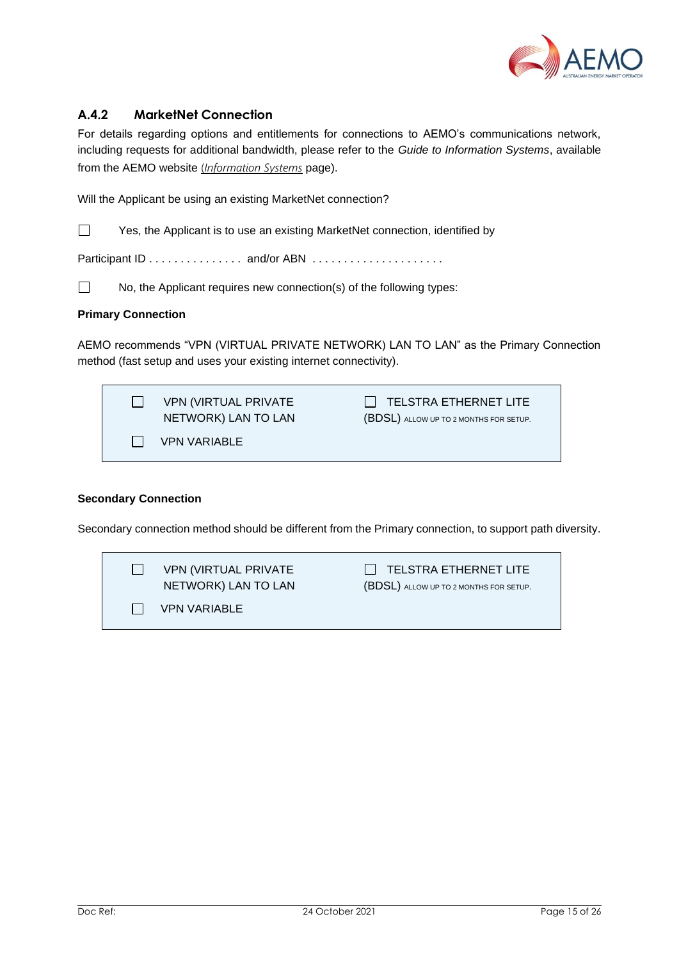

## **A.4.2 MarketNet Connection**

For details regarding options and entitlements for connections to AEMO's communications network, including requests for additional bandwidth, please refer to the *Guide to Information Systems*, available from the AEMO website (*[Information Systems](http://www.aemo.com.au/About-the-Industry/Information-Systems)* page).

Will the Applicant be using an existing MarketNet connection?

 $\Box$ Yes, the Applicant is to use an existing MarketNet connection, identified by

Participant ID . . . . . . . . . . . . . . . and/or ABN . . . . . . . . . . . . . . . . . . . . .

No, the Applicant requires new connection(s) of the following types:

#### **Primary Connection**

 $\Box$ 

AEMO recommends "VPN (VIRTUAL PRIVATE NETWORK) LAN TO LAN" as the Primary Connection method (fast setup and uses your existing internet connectivity).

| <b>VPN (VIRTUAL PRIVATE)</b><br>NETWORK) LAN TO LAN | TELSTRA ETHERNET LITE<br>(BDSL) ALLOW UP TO 2 MONTHS FOR SETUP. |
|-----------------------------------------------------|-----------------------------------------------------------------|
| <b>VPN VARIABLE</b>                                 |                                                                 |

#### **Secondary Connection**

Secondary connection method should be different from the Primary connection, to support path diversity.

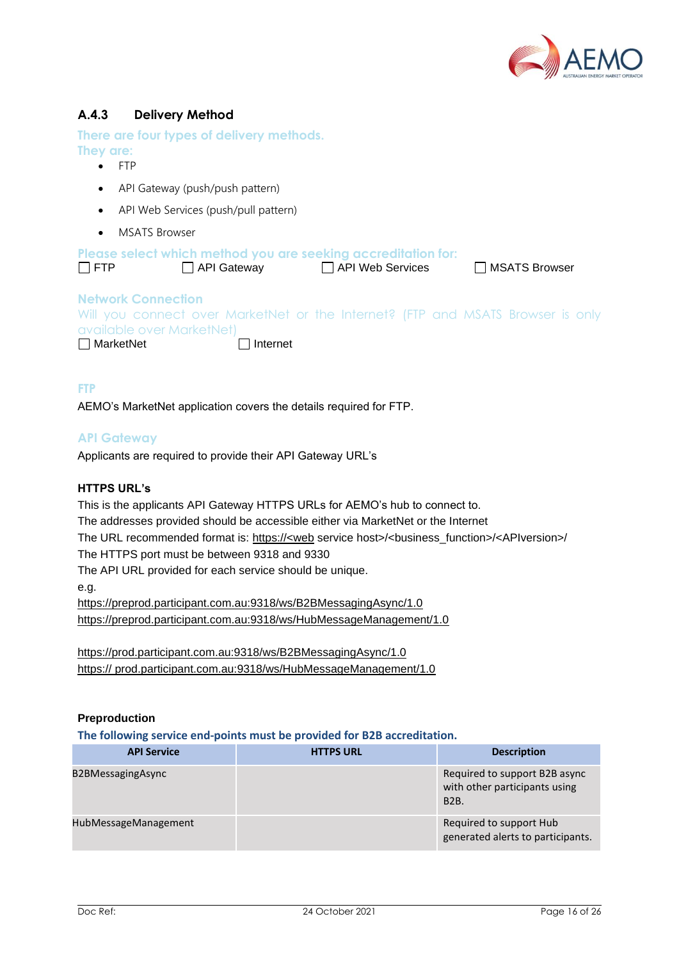

## **A.4.3 Delivery Method**

**There are four types of delivery methods. They are:**

- FTP
- API Gateway (push/push pattern)
- API Web Services (push/pull pattern)
- MSATS Browser

| $\Box$ FTP                                                                 | Please select which method you are seeking accreditation for:<br>API Gateway                       | API Web Services | □ MSATS Browser |  |
|----------------------------------------------------------------------------|----------------------------------------------------------------------------------------------------|------------------|-----------------|--|
| <b>Network Connection</b><br>available over MarketNet)<br>$\Box$ MarketNet | Will you connect over MarketNet or the Internet? (FTP and MSATS Browser is only<br>$\Box$ Internet |                  |                 |  |

**FTP**

AEMO's MarketNet application covers the details required for FTP.

#### **API Gateway**

Applicants are required to provide their API Gateway URL's

#### **HTTPS URL's**

This is the applicants API Gateway HTTPS URLs for AEMO's hub to connect to.

The addresses provided should be accessible either via MarketNet or the Internet

The URL recommended format is: https://<web service host>/<br/>clusiness\_function>/<APIversion>/

The HTTPS port must be between 9318 and 9330

The API URL provided for each service should be unique.

e.g.

<https://preprod.participant.com.au:9318/ws/B2BMessagingAsync/1.0> <https://preprod.participant.com.au:9318/ws/HubMessageManagement/1.0>

<https://prod.participant.com.au:9318/ws/B2BMessagingAsync/1.0> https:// prod.participant.com.au:9318/ws/HubMessageManagement/1.0

#### **Preproduction**

**The following service end-points must be provided for B2B accreditation.**

| <b>API Service</b>   | <b>HTTPS URL</b> | <b>Description</b>                                                            |
|----------------------|------------------|-------------------------------------------------------------------------------|
| B2BMessagingAsync    |                  | Required to support B2B async<br>with other participants using<br><b>B2B.</b> |
| HubMessageManagement |                  | Required to support Hub<br>generated alerts to participants.                  |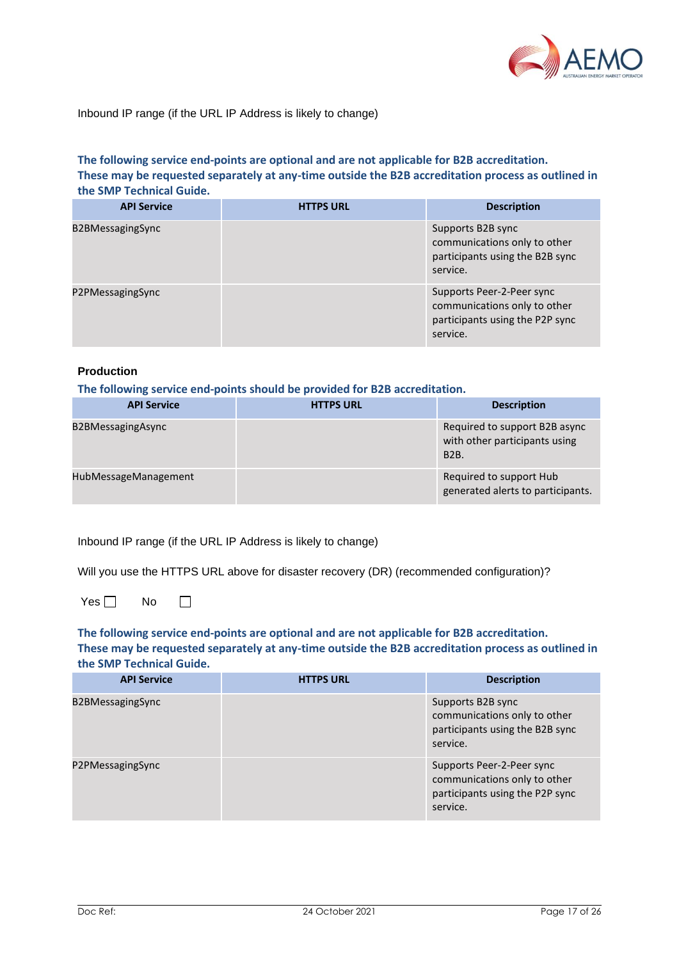

#### Inbound IP range (if the URL IP Address is likely to change)

#### **The following service end-points are optional and are not applicable for B2B accreditation. These may be requested separately at any-time outside the B2B accreditation process as outlined in the SMP Technical Guide.**

| <b>API Service</b>      | <b>HTTPS URL</b> | <b>Description</b>                                                                                       |
|-------------------------|------------------|----------------------------------------------------------------------------------------------------------|
| <b>B2BMessagingSync</b> |                  | Supports B2B sync<br>communications only to other<br>participants using the B2B sync<br>service.         |
| P2PMessagingSync        |                  | Supports Peer-2-Peer sync<br>communications only to other<br>participants using the P2P sync<br>service. |

#### **Production**

**The following service end-points should be provided for B2B accreditation.**

| <b>API Service</b>   | <b>HTTPS URL</b> | <b>Description</b>                                                            |
|----------------------|------------------|-------------------------------------------------------------------------------|
| B2BMessagingAsync    |                  | Required to support B2B async<br>with other participants using<br><b>B2B.</b> |
| HubMessageManagement |                  | Required to support Hub<br>generated alerts to participants.                  |

Inbound IP range (if the URL IP Address is likely to change)

Will you use the HTTPS URL above for disaster recovery (DR) (recommended configuration)?

 $Yes \Box$  No  $\Box$ 

**The following service end-points are optional and are not applicable for B2B accreditation. These may be requested separately at any-time outside the B2B accreditation process as outlined in the SMP Technical Guide.**

| <b>API Service</b> | <b>HTTPS URL</b> | <b>Description</b>                                                                                       |
|--------------------|------------------|----------------------------------------------------------------------------------------------------------|
| B2BMessagingSync   |                  | Supports B2B sync<br>communications only to other<br>participants using the B2B sync<br>service.         |
| P2PMessagingSync   |                  | Supports Peer-2-Peer sync<br>communications only to other<br>participants using the P2P sync<br>service. |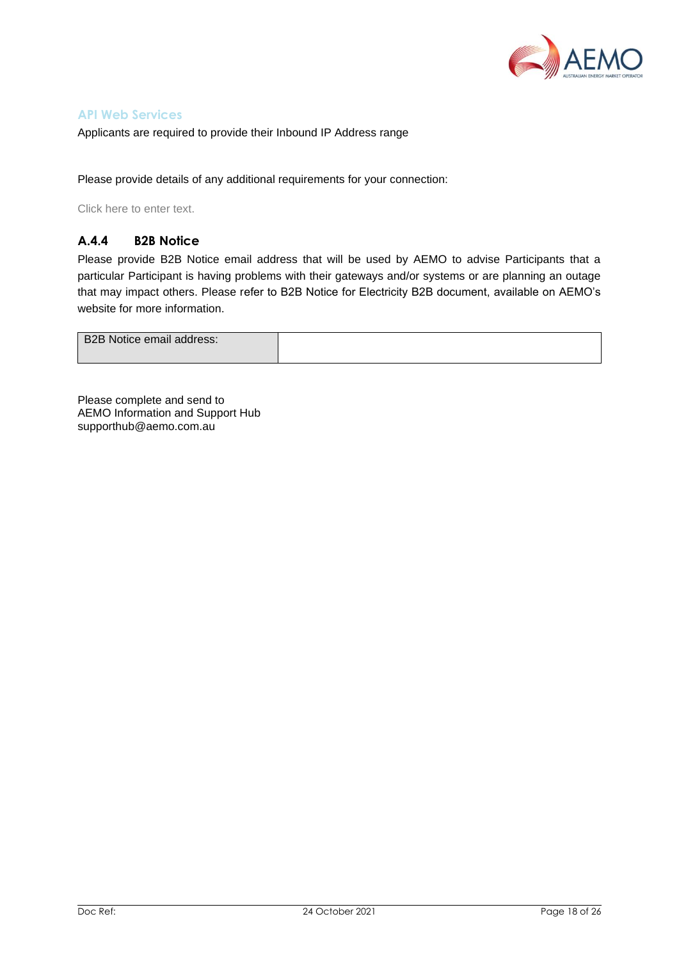

#### **API Web Services**

Applicants are required to provide their Inbound IP Address range

Please provide details of any additional requirements for your connection:

Click here to enter text.

#### **A.4.4 B2B Notice**

Please provide B2B Notice email address that will be used by AEMO to advise Participants that a particular Participant is having problems with their gateways and/or systems or are planning an outage that may impact others. Please refer to B2B Notice for Electricity B2B document, available on AEMO's website for more information.

| B2B Notice email address: |  |
|---------------------------|--|
|                           |  |
|                           |  |

Please complete and send to AEMO Information and Support Hub supporthub@aemo.com.au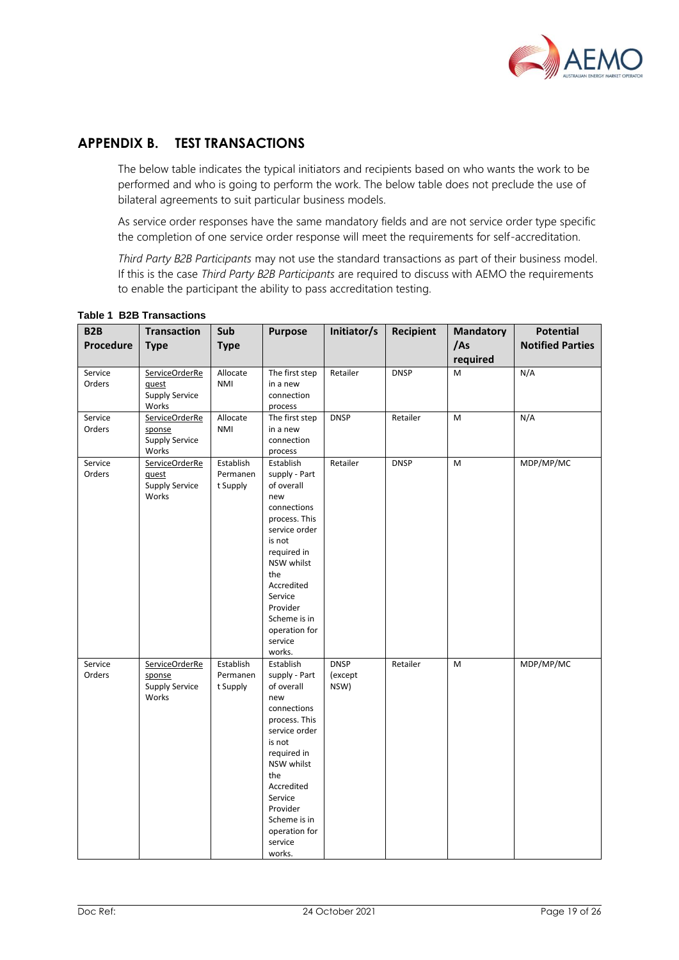

## <span id="page-18-0"></span>**APPENDIX B. TEST TRANSACTIONS**

The below table indicates the typical initiators and recipients based on who wants the work to be performed and who is going to perform the work. The below table does not preclude the use of bilateral agreements to suit particular business models.

As service order responses have the same mandatory fields and are not service order type specific the completion of one service order response will meet the requirements for self-accreditation.

*Third Party B2B Participants* may not use the standard transactions as part of their business model. If this is the case *Third Party B2B Participants* are required to discuss with AEMO the requirements to enable the participant the ability to pass accreditation testing.

| B <sub>2</sub> B<br>Procedure | <b>Transaction</b>                                         | Sub                               | <b>Purpose</b>                                                                                                                                                                                                                            | Initiator/s                    | Recipient   | <b>Mandatory</b><br>/As | <b>Potential</b><br><b>Notified Parties</b> |
|-------------------------------|------------------------------------------------------------|-----------------------------------|-------------------------------------------------------------------------------------------------------------------------------------------------------------------------------------------------------------------------------------------|--------------------------------|-------------|-------------------------|---------------------------------------------|
|                               | <b>Type</b>                                                | <b>Type</b>                       |                                                                                                                                                                                                                                           |                                |             | required                |                                             |
| Service<br>Orders             | ServiceOrderRe<br>quest<br><b>Supply Service</b><br>Works  | Allocate<br><b>NMI</b>            | The first step<br>in a new<br>connection<br>process                                                                                                                                                                                       | Retailer                       | <b>DNSP</b> | M                       | N/A                                         |
| Service<br>Orders             | ServiceOrderRe<br>sponse<br><b>Supply Service</b><br>Works | Allocate<br><b>NMI</b>            | The first step<br>in a new<br>connection<br>process                                                                                                                                                                                       | <b>DNSP</b>                    | Retailer    | M                       | N/A                                         |
| Service<br>Orders             | ServiceOrderRe<br>quest<br><b>Supply Service</b><br>Works  | Establish<br>Permanen<br>t Supply | Establish<br>supply - Part<br>of overall<br>new<br>connections<br>process. This<br>service order<br>is not<br>required in<br>NSW whilst<br>the<br>Accredited<br>Service<br>Provider<br>Scheme is in<br>operation for<br>service<br>works. | Retailer                       | <b>DNSP</b> | M                       | MDP/MP/MC                                   |
| Service<br>Orders             | ServiceOrderRe<br>sponse<br><b>Supply Service</b><br>Works | Establish<br>Permanen<br>t Supply | Establish<br>supply - Part<br>of overall<br>new<br>connections<br>process. This<br>service order<br>is not<br>required in<br>NSW whilst<br>the<br>Accredited<br>Service<br>Provider<br>Scheme is in<br>operation for<br>service<br>works. | <b>DNSP</b><br>(except<br>NSW) | Retailer    | M                       | MDP/MP/MC                                   |

#### **Table 1 B2B Transactions**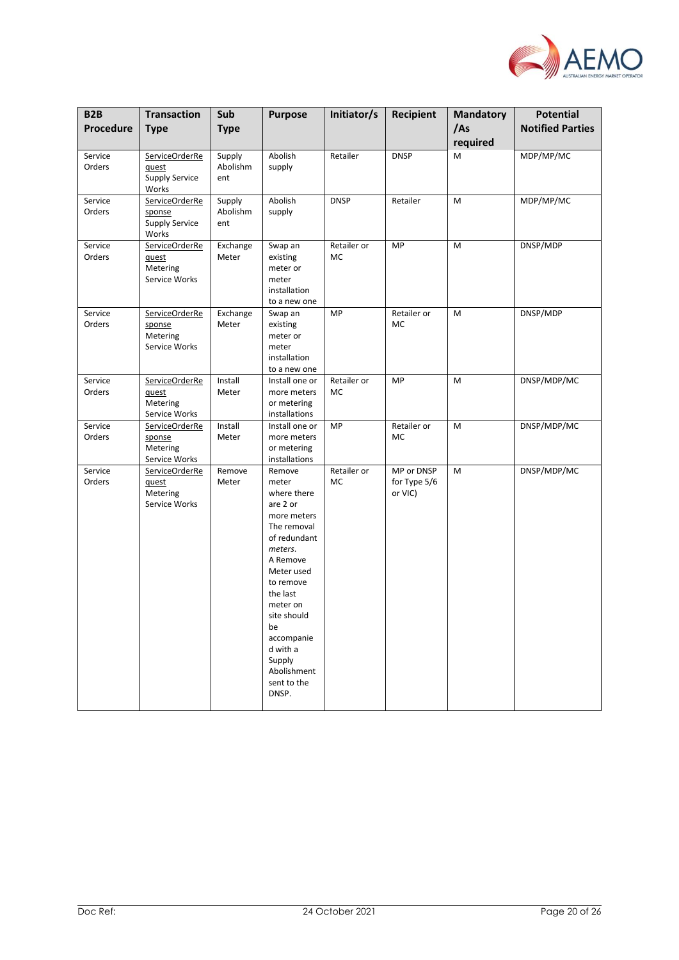

| B <sub>2</sub> B  | <b>Transaction</b>                                               | Sub                       | <b>Purpose</b>                                                                                                                                                                                                                                                     | Initiator/s       | Recipient                             | <b>Mandatory</b> | <b>Potential</b>        |
|-------------------|------------------------------------------------------------------|---------------------------|--------------------------------------------------------------------------------------------------------------------------------------------------------------------------------------------------------------------------------------------------------------------|-------------------|---------------------------------------|------------------|-------------------------|
| Procedure         | <b>Type</b>                                                      | <b>Type</b>               |                                                                                                                                                                                                                                                                    |                   |                                       | /As<br>required  | <b>Notified Parties</b> |
| Service<br>Orders | ServiceOrderRe<br><u>quest</u><br><b>Supply Service</b><br>Works | Supply<br>Abolishm<br>ent | Abolish<br>supply                                                                                                                                                                                                                                                  | Retailer          | <b>DNSP</b>                           | M                | MDP/MP/MC               |
| Service<br>Orders | ServiceOrderRe<br>sponse<br><b>Supply Service</b><br>Works       | Supply<br>Abolishm<br>ent | Abolish<br>supply                                                                                                                                                                                                                                                  | <b>DNSP</b>       | Retailer                              | M                | MDP/MP/MC               |
| Service<br>Orders | ServiceOrderRe<br>quest<br>Metering<br>Service Works             | Exchange<br>Meter         | Swap an<br>existing<br>meter or<br>meter<br>installation<br>to a new one                                                                                                                                                                                           | Retailer or<br>MC | MP                                    | M                | DNSP/MDP                |
| Service<br>Orders | ServiceOrderRe<br>sponse<br>Metering<br>Service Works            | Exchange<br>Meter         | Swap an<br>existing<br>meter or<br>meter<br>installation<br>to a new one                                                                                                                                                                                           | MP                | Retailer or<br>MC                     | M                | DNSP/MDP                |
| Service<br>Orders | ServiceOrderRe<br>quest<br>Metering<br>Service Works             | Install<br>Meter          | Install one or<br>more meters<br>or metering<br>installations                                                                                                                                                                                                      | Retailer or<br>MC | MP                                    | M                | DNSP/MDP/MC             |
| Service<br>Orders | ServiceOrderRe<br>sponse<br>Metering<br>Service Works            | Install<br>Meter          | Install one or<br>more meters<br>or metering<br>installations                                                                                                                                                                                                      | MP                | Retailer or<br>MC                     | M                | DNSP/MDP/MC             |
| Service<br>Orders | ServiceOrderRe<br>quest<br>Metering<br>Service Works             | Remove<br>Meter           | Remove<br>meter<br>where there<br>are 2 or<br>more meters<br>The removal<br>of redundant<br>meters.<br>A Remove<br>Meter used<br>to remove<br>the last<br>meter on<br>site should<br>be<br>accompanie<br>d with a<br>Supply<br>Abolishment<br>sent to the<br>DNSP. | Retailer or<br>МC | MP or DNSP<br>for Type 5/6<br>or VIC) | M                | DNSP/MDP/MC             |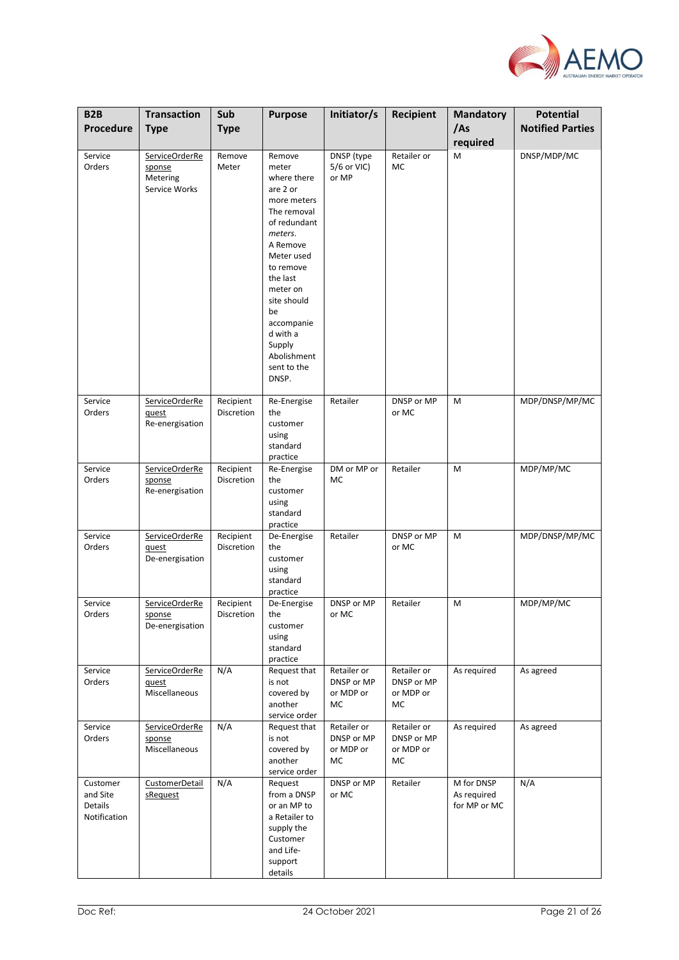

| B <sub>2</sub> B                                | <b>Transaction</b>                                    | Sub                            | <b>Purpose</b>                                                                                                                                                                                                                                                     | Initiator/s                                  | Recipient                                    | <b>Mandatory</b>                          | <b>Potential</b>        |
|-------------------------------------------------|-------------------------------------------------------|--------------------------------|--------------------------------------------------------------------------------------------------------------------------------------------------------------------------------------------------------------------------------------------------------------------|----------------------------------------------|----------------------------------------------|-------------------------------------------|-------------------------|
| Procedure                                       | <b>Type</b>                                           | <b>Type</b>                    |                                                                                                                                                                                                                                                                    |                                              |                                              | /As<br>required                           | <b>Notified Parties</b> |
| Service<br>Orders                               | ServiceOrderRe<br>sponse<br>Metering<br>Service Works | Remove<br>Meter                | Remove<br>meter<br>where there<br>are 2 or<br>more meters<br>The removal<br>of redundant<br>meters.<br>A Remove<br>Meter used<br>to remove<br>the last<br>meter on<br>site should<br>be<br>accompanie<br>d with a<br>Supply<br>Abolishment<br>sent to the<br>DNSP. | DNSP (type<br>$5/6$ or VIC)<br>or MP         | Retailer or<br>МC                            | M                                         | DNSP/MDP/MC             |
| Service<br>Orders                               | ServiceOrderRe<br>quest<br>Re-energisation            | Recipient<br>Discretion        | Re-Energise<br>the<br>customer<br>using<br>standard<br>practice                                                                                                                                                                                                    | Retailer                                     | DNSP or MP<br>or MC                          | M                                         | MDP/DNSP/MP/MC          |
| Service<br>Orders                               | ServiceOrderRe<br>sponse<br>Re-energisation           | Recipient<br>Discretion        | Re-Energise<br>the<br>customer<br>using<br>standard<br>practice                                                                                                                                                                                                    | DM or MP or<br>MC                            | Retailer                                     | M                                         | MDP/MP/MC               |
| Service<br>Orders                               | ServiceOrderRe<br>quest<br>De-energisation            | Recipient<br>Discretion        | De-Energise<br>the<br>customer<br>using<br>standard<br>practice                                                                                                                                                                                                    | Retailer                                     | DNSP or MP<br>or MC                          | M                                         | MDP/DNSP/MP/MC          |
| Service<br>Orders                               | ServiceOrderRe<br>sponse<br>De-energisation           | Recipient<br><b>Discretion</b> | De-Energise<br>the<br>customer<br>using<br>standard<br>practice                                                                                                                                                                                                    | DNSP or MP<br>or MC                          | Retailer                                     | M                                         | MDP/MP/MC               |
| Service<br>Orders                               | ServiceOrderRe<br>quest<br>Miscellaneous              | N/A                            | Request that<br>is not<br>covered by<br>another<br>service order                                                                                                                                                                                                   | Retailer or<br>DNSP or MP<br>or MDP or<br>МC | Retailer or<br>DNSP or MP<br>or MDP or<br>МC | As required                               | As agreed               |
| Service<br>Orders                               | ServiceOrderRe<br>sponse<br>Miscellaneous             | N/A                            | Request that<br>is not<br>covered by<br>another<br>service order                                                                                                                                                                                                   | Retailer or<br>DNSP or MP<br>or MDP or<br>МC | Retailer or<br>DNSP or MP<br>or MDP or<br>МC | As required                               | As agreed               |
| Customer<br>and Site<br>Details<br>Notification | CustomerDetail<br>sRequest                            | N/A                            | Request<br>from a DNSP<br>or an MP to<br>a Retailer to<br>supply the<br>Customer<br>and Life-<br>support<br>details                                                                                                                                                | DNSP or MP<br>or MC                          | Retailer                                     | M for DNSP<br>As required<br>for MP or MC | N/A                     |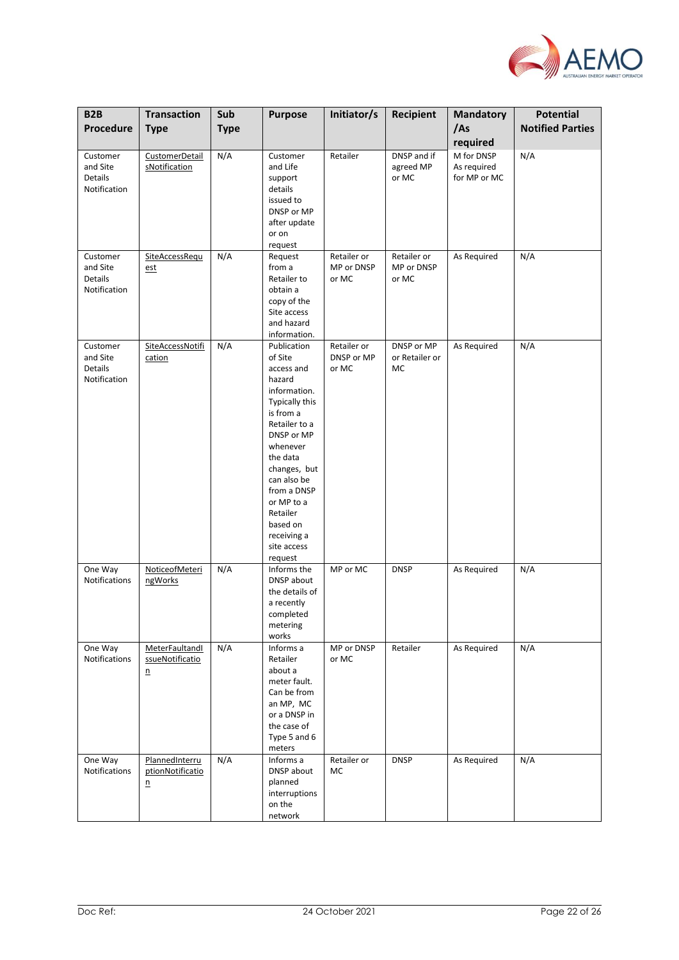

| B <sub>2</sub> B<br>Procedure                          | <b>Transaction</b><br><b>Type</b>                    | Sub<br><b>Type</b> | <b>Purpose</b>                                                                                                                                                                                                                                                                    | Initiator/s                        | Recipient                          | <b>Mandatory</b><br>/As                               | <b>Potential</b><br><b>Notified Parties</b> |
|--------------------------------------------------------|------------------------------------------------------|--------------------|-----------------------------------------------------------------------------------------------------------------------------------------------------------------------------------------------------------------------------------------------------------------------------------|------------------------------------|------------------------------------|-------------------------------------------------------|---------------------------------------------|
| Customer<br>and Site<br><b>Details</b><br>Notification | CustomerDetail<br>sNotification                      | N/A                | Customer<br>and Life<br>support<br>details<br>issued to<br>DNSP or MP<br>after update<br>or on                                                                                                                                                                                    | Retailer                           | DNSP and if<br>agreed MP<br>or MC  | required<br>M for DNSP<br>As required<br>for MP or MC | N/A                                         |
| Customer<br>and Site<br>Details<br>Notification        | SiteAccessRequ<br><u>est</u>                         | N/A                | request<br>Request<br>from a<br>Retailer to<br>obtain a<br>copy of the<br>Site access<br>and hazard<br>information.                                                                                                                                                               | Retailer or<br>MP or DNSP<br>or MC | Retailer or<br>MP or DNSP<br>or MC | As Required                                           | N/A                                         |
| Customer<br>and Site<br><b>Details</b><br>Notification | <b>SiteAccessNotifi</b><br>cation                    | N/A                | Publication<br>of Site<br>access and<br>hazard<br>information.<br>Typically this<br>is from a<br>Retailer to a<br>DNSP or MP<br>whenever<br>the data<br>changes, but<br>can also be<br>from a DNSP<br>or MP to a<br>Retailer<br>based on<br>receiving a<br>site access<br>request | Retailer or<br>DNSP or MP<br>or MC | DNSP or MP<br>or Retailer or<br>MC | As Required                                           | N/A                                         |
| One Way<br>Notifications                               | NoticeofMeteri<br>ngWorks                            | N/A                | Informs the<br>DNSP about<br>the details of<br>a recently<br>completed<br>metering<br>works                                                                                                                                                                                       | MP or MC                           | <b>DNSP</b>                        | As Required                                           | N/A                                         |
| One Way<br>Notifications                               | MeterFaultandl<br>ssueNotificatio<br>$\underline{n}$ | N/A                | Informs a<br>Retailer<br>about a<br>meter fault.<br>Can be from<br>an MP, MC<br>or a DNSP in<br>the case of<br>Type 5 and 6<br>meters                                                                                                                                             | MP or DNSP<br>or MC                | Retailer                           | As Required                                           | N/A                                         |
| One Way<br>Notifications                               | PlannedInterru<br>ptionNotificatio<br>n              | N/A                | Informs a<br>DNSP about<br>planned<br>interruptions<br>on the<br>network                                                                                                                                                                                                          | Retailer or<br>MC                  | <b>DNSP</b>                        | As Required                                           | N/A                                         |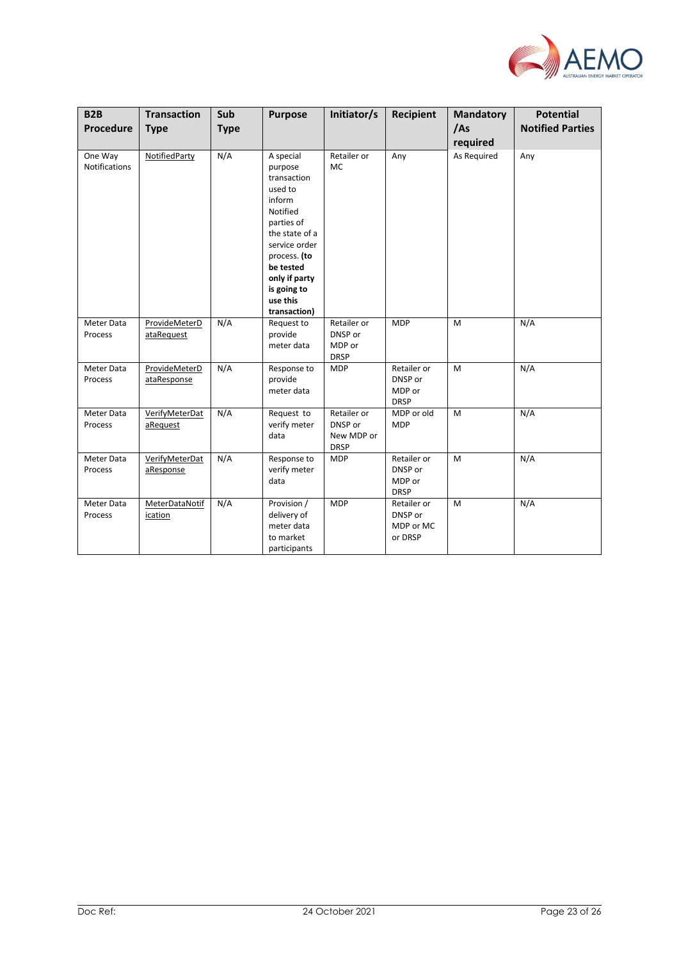

| <b>B2B</b><br>Procedure         | <b>Transaction</b><br><b>Type</b>  | Sub<br><b>Type</b> | <b>Purpose</b>                                                                                                                                                                                                 | Initiator/s                                         | Recipient                                       | <b>Mandatory</b><br>/As | <b>Potential</b><br><b>Notified Parties</b> |
|---------------------------------|------------------------------------|--------------------|----------------------------------------------------------------------------------------------------------------------------------------------------------------------------------------------------------------|-----------------------------------------------------|-------------------------------------------------|-------------------------|---------------------------------------------|
| One Way<br><b>Notifications</b> | NotifiedParty                      | N/A                | A special<br>purpose<br>transaction<br>used to<br>inform<br>Notified<br>parties of<br>the state of a<br>service order<br>process. (to<br>be tested<br>only if party<br>is going to<br>use this<br>transaction) | Retailer or<br><b>MC</b>                            | Any                                             | required<br>As Required | Any                                         |
| Meter Data<br>Process           | ProvideMeterD<br>ataRequest        | N/A                | Request to<br>provide<br>meter data                                                                                                                                                                            | Retailer or<br>DNSP or<br>MDP or<br><b>DRSP</b>     | <b>MDP</b>                                      | M                       | N/A                                         |
| Meter Data<br>Process           | ProvideMeterD<br>ataResponse       | N/A                | Response to<br>provide<br>meter data                                                                                                                                                                           | <b>MDP</b>                                          | Retailer or<br>DNSP or<br>MDP or<br><b>DRSP</b> | M                       | N/A                                         |
| Meter Data<br>Process           | VerifyMeterDat<br>aRequest         | N/A                | Request to<br>verify meter<br>data                                                                                                                                                                             | Retailer or<br>DNSP or<br>New MDP or<br><b>DRSP</b> | MDP or old<br><b>MDP</b>                        | M                       | N/A                                         |
| Meter Data<br>Process           | <b>VerifyMeterDat</b><br>aResponse | N/A                | Response to<br>verify meter<br>data                                                                                                                                                                            | <b>MDP</b>                                          | Retailer or<br>DNSP or<br>MDP or<br><b>DRSP</b> | M                       | N/A                                         |
| Meter Data<br>Process           | MeterDataNotif<br>ication          | N/A                | Provision /<br>delivery of<br>meter data<br>to market<br>participants                                                                                                                                          | <b>MDP</b>                                          | Retailer or<br>DNSP or<br>MDP or MC<br>or DRSP  | M                       | N/A                                         |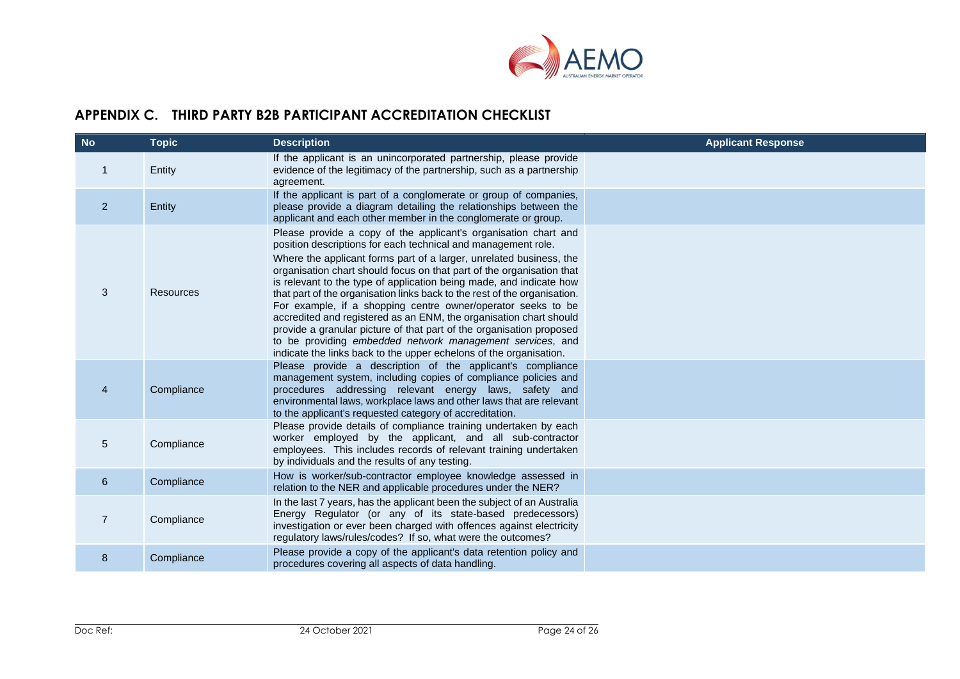

# **APPENDIX C. THIRD PARTY B2B PARTICIPANT ACCREDITATION CHECKLIST**

<span id="page-23-0"></span>

| <b>No</b>      | <b>Topic</b>     | <b>Description</b>                                                                                                                                                                                                                                                                                                                                                                                                                                                                                                                                                                                                                                                                                                                                                                    | <b>Applicant Response</b> |
|----------------|------------------|---------------------------------------------------------------------------------------------------------------------------------------------------------------------------------------------------------------------------------------------------------------------------------------------------------------------------------------------------------------------------------------------------------------------------------------------------------------------------------------------------------------------------------------------------------------------------------------------------------------------------------------------------------------------------------------------------------------------------------------------------------------------------------------|---------------------------|
| 1              | Entity           | If the applicant is an unincorporated partnership, please provide<br>evidence of the legitimacy of the partnership, such as a partnership<br>agreement.                                                                                                                                                                                                                                                                                                                                                                                                                                                                                                                                                                                                                               |                           |
| $\overline{2}$ | Entity           | If the applicant is part of a conglomerate or group of companies,<br>please provide a diagram detailing the relationships between the<br>applicant and each other member in the conglomerate or group.                                                                                                                                                                                                                                                                                                                                                                                                                                                                                                                                                                                |                           |
| 3              | <b>Resources</b> | Please provide a copy of the applicant's organisation chart and<br>position descriptions for each technical and management role.<br>Where the applicant forms part of a larger, unrelated business, the<br>organisation chart should focus on that part of the organisation that<br>is relevant to the type of application being made, and indicate how<br>that part of the organisation links back to the rest of the organisation.<br>For example, if a shopping centre owner/operator seeks to be<br>accredited and registered as an ENM, the organisation chart should<br>provide a granular picture of that part of the organisation proposed<br>to be providing embedded network management services, and<br>indicate the links back to the upper echelons of the organisation. |                           |
| $\overline{4}$ | Compliance       | Please provide a description of the applicant's compliance<br>management system, including copies of compliance policies and<br>procedures addressing relevant energy laws, safety and<br>environmental laws, workplace laws and other laws that are relevant<br>to the applicant's requested category of accreditation.                                                                                                                                                                                                                                                                                                                                                                                                                                                              |                           |
| 5              | Compliance       | Please provide details of compliance training undertaken by each<br>worker employed by the applicant, and all sub-contractor<br>employees. This includes records of relevant training undertaken<br>by individuals and the results of any testing.                                                                                                                                                                                                                                                                                                                                                                                                                                                                                                                                    |                           |
| 6              | Compliance       | How is worker/sub-contractor employee knowledge assessed in<br>relation to the NER and applicable procedures under the NER?                                                                                                                                                                                                                                                                                                                                                                                                                                                                                                                                                                                                                                                           |                           |
| $\overline{7}$ | Compliance       | In the last 7 years, has the applicant been the subject of an Australia<br>Energy Regulator (or any of its state-based predecessors)<br>investigation or ever been charged with offences against electricity<br>regulatory laws/rules/codes? If so, what were the outcomes?                                                                                                                                                                                                                                                                                                                                                                                                                                                                                                           |                           |
| 8              | Compliance       | Please provide a copy of the applicant's data retention policy and<br>procedures covering all aspects of data handling.                                                                                                                                                                                                                                                                                                                                                                                                                                                                                                                                                                                                                                                               |                           |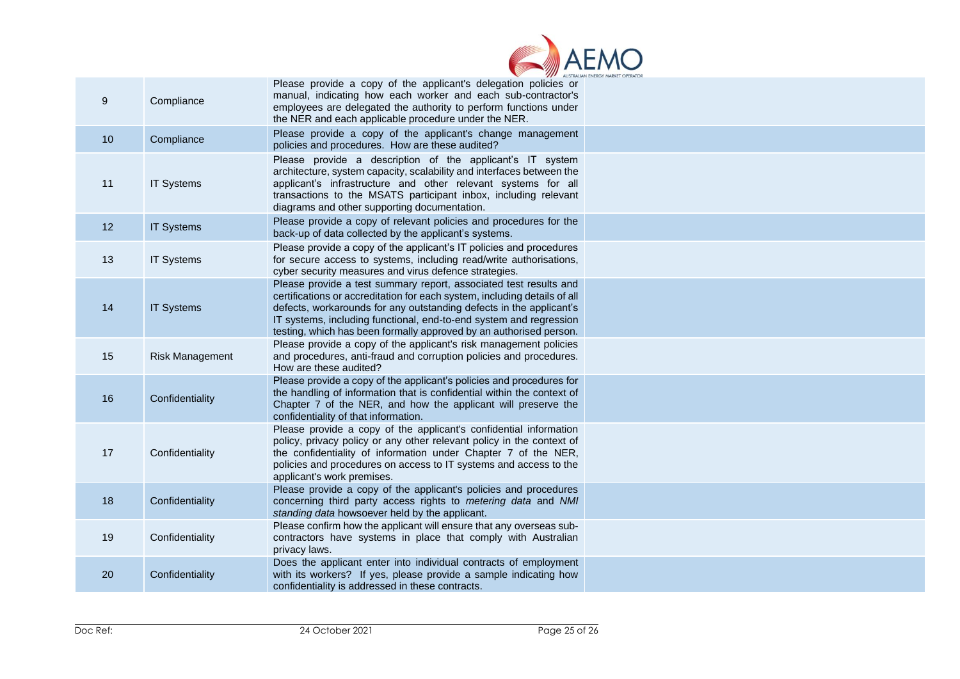

| $\boldsymbol{9}$ | Compliance             | Please provide a copy of the applicant's delegation policies or<br>manual, indicating how each worker and each sub-contractor's<br>employees are delegated the authority to perform functions under<br>the NER and each applicable procedure under the NER.                                                                                                       |  |
|------------------|------------------------|-------------------------------------------------------------------------------------------------------------------------------------------------------------------------------------------------------------------------------------------------------------------------------------------------------------------------------------------------------------------|--|
| 10               | Compliance             | Please provide a copy of the applicant's change management<br>policies and procedures. How are these audited?                                                                                                                                                                                                                                                     |  |
| 11               | <b>IT Systems</b>      | Please provide a description of the applicant's IT system<br>architecture, system capacity, scalability and interfaces between the<br>applicant's infrastructure and other relevant systems for all<br>transactions to the MSATS participant inbox, including relevant<br>diagrams and other supporting documentation.                                            |  |
| 12               | <b>IT Systems</b>      | Please provide a copy of relevant policies and procedures for the<br>back-up of data collected by the applicant's systems.                                                                                                                                                                                                                                        |  |
| 13               | <b>IT Systems</b>      | Please provide a copy of the applicant's IT policies and procedures<br>for secure access to systems, including read/write authorisations,<br>cyber security measures and virus defence strategies.                                                                                                                                                                |  |
| 14               | <b>IT Systems</b>      | Please provide a test summary report, associated test results and<br>certifications or accreditation for each system, including details of all<br>defects, workarounds for any outstanding defects in the applicant's<br>IT systems, including functional, end-to-end system and regression<br>testing, which has been formally approved by an authorised person. |  |
| 15               | <b>Risk Management</b> | Please provide a copy of the applicant's risk management policies<br>and procedures, anti-fraud and corruption policies and procedures.<br>How are these audited?                                                                                                                                                                                                 |  |
| 16               | Confidentiality        | Please provide a copy of the applicant's policies and procedures for<br>the handling of information that is confidential within the context of<br>Chapter 7 of the NER, and how the applicant will preserve the<br>confidentiality of that information.                                                                                                           |  |
| 17               | Confidentiality        | Please provide a copy of the applicant's confidential information<br>policy, privacy policy or any other relevant policy in the context of<br>the confidentiality of information under Chapter 7 of the NER,<br>policies and procedures on access to IT systems and access to the<br>applicant's work premises.                                                   |  |
| 18               | Confidentiality        | Please provide a copy of the applicant's policies and procedures<br>concerning third party access rights to metering data and NMI<br>standing data howsoever held by the applicant.                                                                                                                                                                               |  |
| 19               | Confidentiality        | Please confirm how the applicant will ensure that any overseas sub-<br>contractors have systems in place that comply with Australian<br>privacy laws.                                                                                                                                                                                                             |  |
| 20               | Confidentiality        | Does the applicant enter into individual contracts of employment<br>with its workers? If yes, please provide a sample indicating how<br>confidentiality is addressed in these contracts.                                                                                                                                                                          |  |